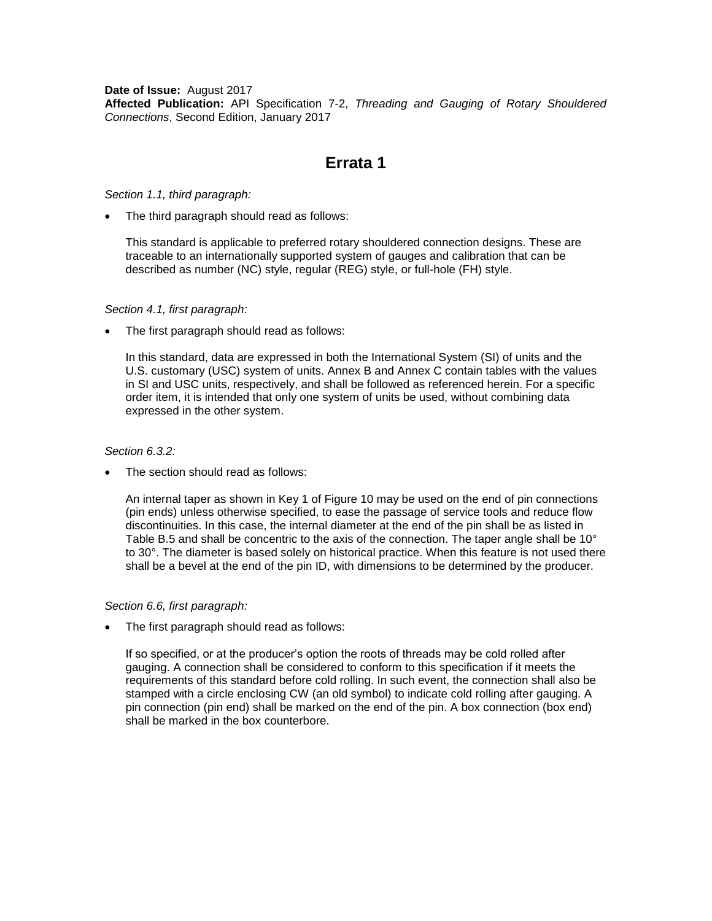**Date of Issue:** August 2017 **Affected Publication:** API Specification 7-2, *Threading and Gauging of Rotary Shouldered Connections*, Second Edition, January 2017

# **Errata 1**

*Section 1.1, third paragraph:*

The third paragraph should read as follows:

This standard is applicable to preferred rotary shouldered connection designs. These are traceable to an internationally supported system of gauges and calibration that can be described as number (NC) style, regular (REG) style, or full-hole (FH) style.

#### *Section 4.1, first paragraph:*

The first paragraph should read as follows:

In this standard, data are expressed in both the International System (SI) of units and the U.S. customary (USC) system of units. Annex B and Annex C contain tables with the values in SI and USC units, respectively, and shall be followed as referenced herein. For a specific order item, it is intended that only one system of units be used, without combining data expressed in the other system.

#### *Section 6.3.2:*

The section should read as follows:

An internal taper as shown in Key 1 of Figure 10 may be used on the end of pin connections (pin ends) unless otherwise specified, to ease the passage of service tools and reduce flow discontinuities. In this case, the internal diameter at the end of the pin shall be as listed in Table B.5 and shall be concentric to the axis of the connection. The taper angle shall be 10° to 30°. The diameter is based solely on historical practice. When this feature is not used there shall be a bevel at the end of the pin ID, with dimensions to be determined by the producer.

# *Section 6.6, first paragraph:*

The first paragraph should read as follows:

If so specified, or at the producer's option the roots of threads may be cold rolled after gauging. A connection shall be considered to conform to this specification if it meets the requirements of this standard before cold rolling. In such event, the connection shall also be stamped with a circle enclosing CW (an old symbol) to indicate cold rolling after gauging. A pin connection (pin end) shall be marked on the end of the pin. A box connection (box end) shall be marked in the box counterbore.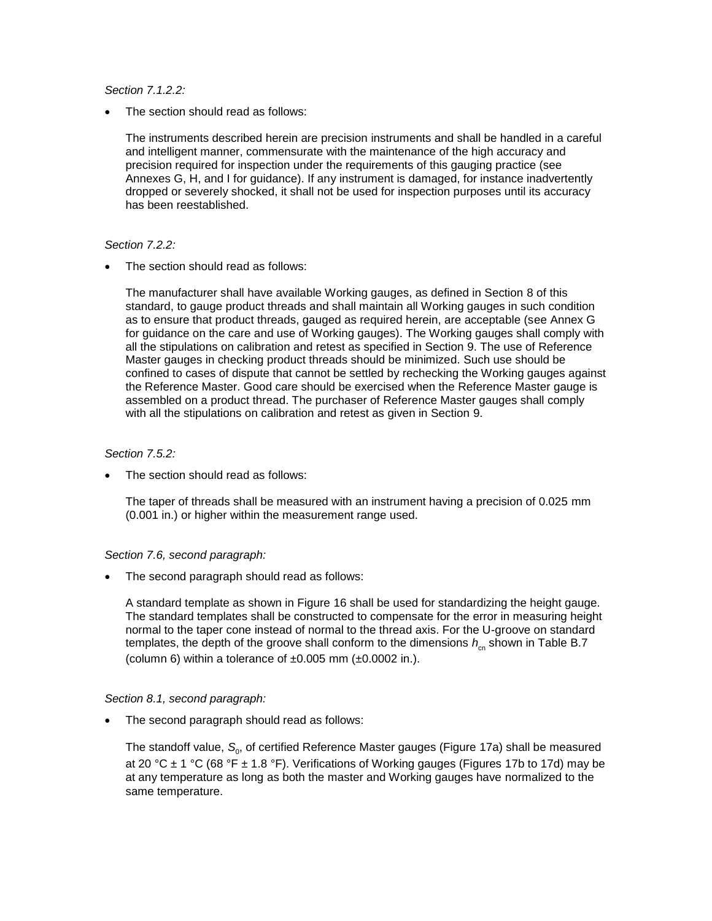*Section 7.1.2.2:*

The section should read as follows:

The instruments described herein are precision instruments and shall be handled in a careful and intelligent manner, commensurate with the maintenance of the high accuracy and precision required for inspection under the requirements of this gauging practice (see Annexes G, H, and I for guidance). If any instrument is damaged, for instance inadvertently dropped or severely shocked, it shall not be used for inspection purposes until its accuracy has been reestablished.

#### *Section 7.2.2:*

The section should read as follows:

The manufacturer shall have available Working gauges, as defined in Section 8 of this standard, to gauge product threads and shall maintain all Working gauges in such condition as to ensure that product threads, gauged as required herein, are acceptable (see Annex G for guidance on the care and use of Working gauges). The Working gauges shall comply with all the stipulations on calibration and retest as specified in Section 9. The use of Reference Master gauges in checking product threads should be minimized. Such use should be confined to cases of dispute that cannot be settled by rechecking the Working gauges against the Reference Master. Good care should be exercised when the Reference Master gauge is assembled on a product thread. The purchaser of Reference Master gauges shall comply with all the stipulations on calibration and retest as given in Section 9.

# *Section 7.5.2:*

The section should read as follows:

The taper of threads shall be measured with an instrument having a precision of 0.025 mm (0.001 in.) or higher within the measurement range used.

# *Section 7.6, second paragraph:*

The second paragraph should read as follows:

A standard template as shown in Figure 16 shall be used for standardizing the height gauge. The standard templates shall be constructed to compensate for the error in measuring height normal to the taper cone instead of normal to the thread axis. For the U-groove on standard templates, the depth of the groove shall conform to the dimensions  $h_{cn}$  shown in Table B.7 (column 6) within a tolerance of  $\pm 0.005$  mm ( $\pm 0.0002$  in.).

# *Section 8.1, second paragraph:*

The second paragraph should read as follows:

The standoff value,  $\mathcal{S}_{_{\!0}},$  of certified Reference Master gauges (Figure 17a) shall be measured at 20 °C  $\pm$  1 °C (68 °F  $\pm$  1.8 °F). Verifications of Working gauges (Figures 17b to 17d) may be at any temperature as long as both the master and Working gauges have normalized to the same temperature.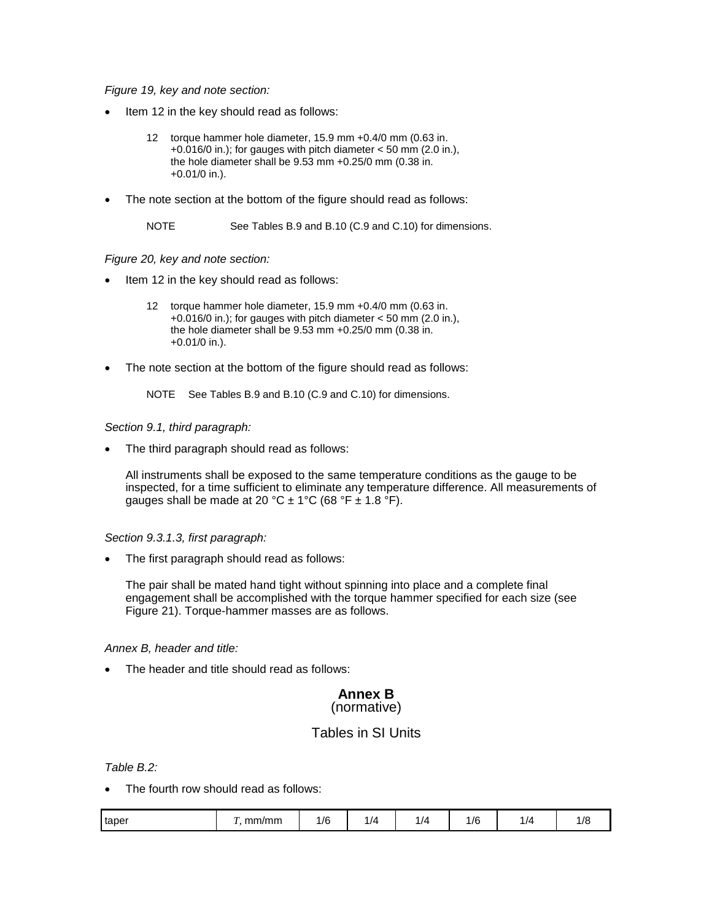*Figure 19, key and note section:*

- Item 12 in the key should read as follows:
	- 12 torque hammer hole diameter, 15.9 mm +0.4/0 mm (0.63 in. +0.016/0 in.); for gauges with pitch diameter < 50 mm (2.0 in.), the hole diameter shall be 9.53 mm +0.25/0 mm (0.38 in. +0.01/0 in.).
- The note section at the bottom of the figure should read as follows:

NOTE See Tables B.9 and B.10 (C.9 and C.10) for dimensions.

#### *Figure 20, key and note section:*

- Item 12 in the key should read as follows:
	- 12 torque hammer hole diameter, 15.9 mm +0.4/0 mm (0.63 in. +0.016/0 in.); for gauges with pitch diameter < 50 mm (2.0 in.), the hole diameter shall be 9.53 mm +0.25/0 mm (0.38 in. +0.01/0 in.).
- The note section at the bottom of the figure should read as follows:

NOTE See Tables B.9 and B.10 (C.9 and C.10) for dimensions.

#### *Section 9.1, third paragraph:*

The third paragraph should read as follows:

All instruments shall be exposed to the same temperature conditions as the gauge to be inspected, for a time sufficient to eliminate any temperature difference. All measurements of gauges shall be made at 20 °C  $\pm$  1°C (68 °F  $\pm$  1.8 °F).

# *Section 9.3.1.3, first paragraph:*

The first paragraph should read as follows:

The pair shall be mated hand tight without spinning into place and a complete final engagement shall be accomplished with the torque hammer specified for each size (see Figure 21). Torque-hammer masses are as follows.

# *Annex B, header and title:*

The header and title should read as follows:

# **Annex B** (normative)

# Tables in SI Units

*Table B.2:*

The fourth row should read as follows:

|  | taper | mm/mm | $\sqrt{a}$<br>77 V | $\prime\prime$ | $\prime$ | 1/6 |  |  |
|--|-------|-------|--------------------|----------------|----------|-----|--|--|
|--|-------|-------|--------------------|----------------|----------|-----|--|--|